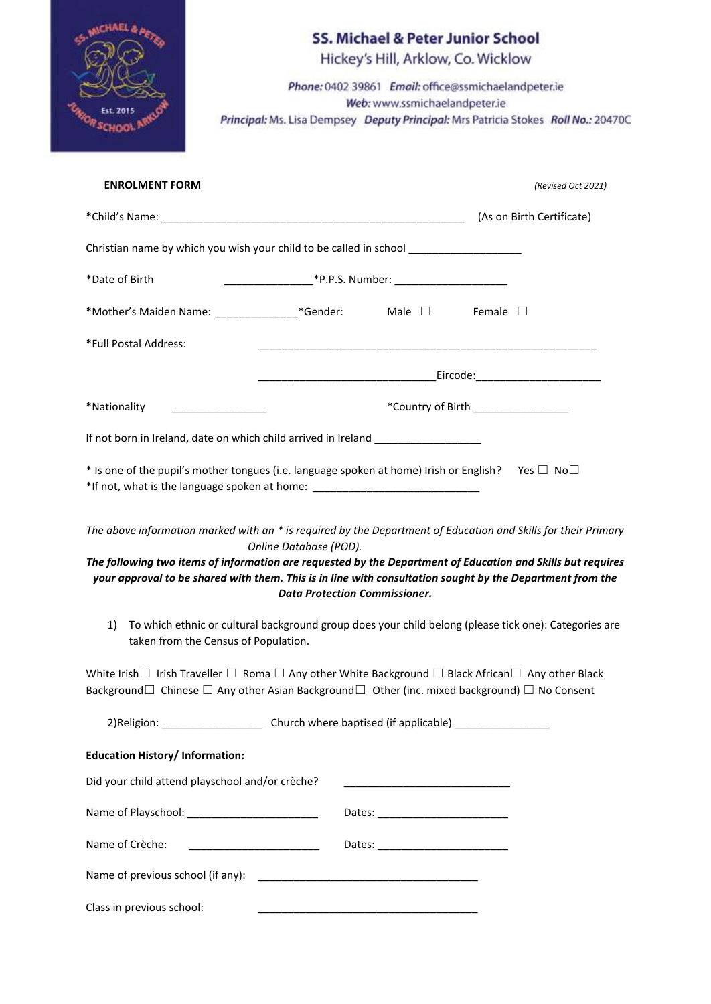| <b>JAEL &amp; PETER</b> |
|-------------------------|
|                         |
| Est. 2015               |
| OR SCHOOL P             |

# **SS. Michael & Peter Junior School** Hickey's Hill, Arklow, Co. Wicklow Phone: 0402 39861 Email: office@ssmichaelandpeter.ie Web: www.ssmichaelandpeter.ie Principal: Ms. Lisa Dempsey Deputy Principal: Mrs Patricia Stokes Roll No.: 20470C

| <b>ENROLMENT FORM</b>                                                                                                                                                                                                                                                                                                                      |                                                                |                                    | (Revised Oct 2021)        |
|--------------------------------------------------------------------------------------------------------------------------------------------------------------------------------------------------------------------------------------------------------------------------------------------------------------------------------------------|----------------------------------------------------------------|------------------------------------|---------------------------|
|                                                                                                                                                                                                                                                                                                                                            |                                                                |                                    | (As on Birth Certificate) |
| Christian name by which you wish your child to be called in school _____________                                                                                                                                                                                                                                                           |                                                                |                                    |                           |
| *Date of Birth                                                                                                                                                                                                                                                                                                                             |                                                                |                                    |                           |
| *Mother's Maiden Name: ________________*Gender: Male $\Box$ Female $\Box$                                                                                                                                                                                                                                                                  |                                                                |                                    |                           |
| *Full Postal Address:                                                                                                                                                                                                                                                                                                                      | <u> 1980 - Jan Barnett, fransk politik (d. 1980)</u>           |                                    |                           |
|                                                                                                                                                                                                                                                                                                                                            |                                                                |                                    |                           |
| *Nationality                                                                                                                                                                                                                                                                                                                               |                                                                | *Country of Birth ________________ |                           |
| If not born in Ireland, date on which child arrived in Ireland _________________                                                                                                                                                                                                                                                           |                                                                |                                    |                           |
| * Is one of the pupil's mother tongues (i.e. language spoken at home) Irish or English? Yes $\Box$ No $\Box$<br>*If not, what is the language spoken at home: __________________________________                                                                                                                                           |                                                                |                                    |                           |
| The above information marked with an * is required by the Department of Education and Skills for their Primary<br>The following two items of information are requested by the Department of Education and Skills but requires<br>your approval to be shared with them. This is in line with consultation sought by the Department from the | Online Database (POD).<br><b>Data Protection Commissioner.</b> |                                    |                           |
| To which ethnic or cultural background group does your child belong (please tick one): Categories are<br>1)<br>taken from the Census of Population.                                                                                                                                                                                        |                                                                |                                    |                           |
| White Irish II Irish Traveller $\square$ Roma $\square$ Any other White Background $\square$ Black African $\square$ Any other Black<br>Background $\Box$ Chinese $\Box$ Any other Asian Background $\Box$ Other (inc. mixed background) $\Box$ No Consent                                                                                 |                                                                |                                    |                           |
| 2) Religion: _________________________________Church where baptised (if applicable) ______________________                                                                                                                                                                                                                                 |                                                                |                                    |                           |
| <b>Education History/Information:</b>                                                                                                                                                                                                                                                                                                      |                                                                |                                    |                           |
| Did your child attend playschool and/or crèche?                                                                                                                                                                                                                                                                                            |                                                                |                                    |                           |
|                                                                                                                                                                                                                                                                                                                                            |                                                                |                                    |                           |
| Name of Crèche:                                                                                                                                                                                                                                                                                                                            |                                                                |                                    |                           |
|                                                                                                                                                                                                                                                                                                                                            |                                                                |                                    |                           |
| Class in previous school:                                                                                                                                                                                                                                                                                                                  |                                                                |                                    |                           |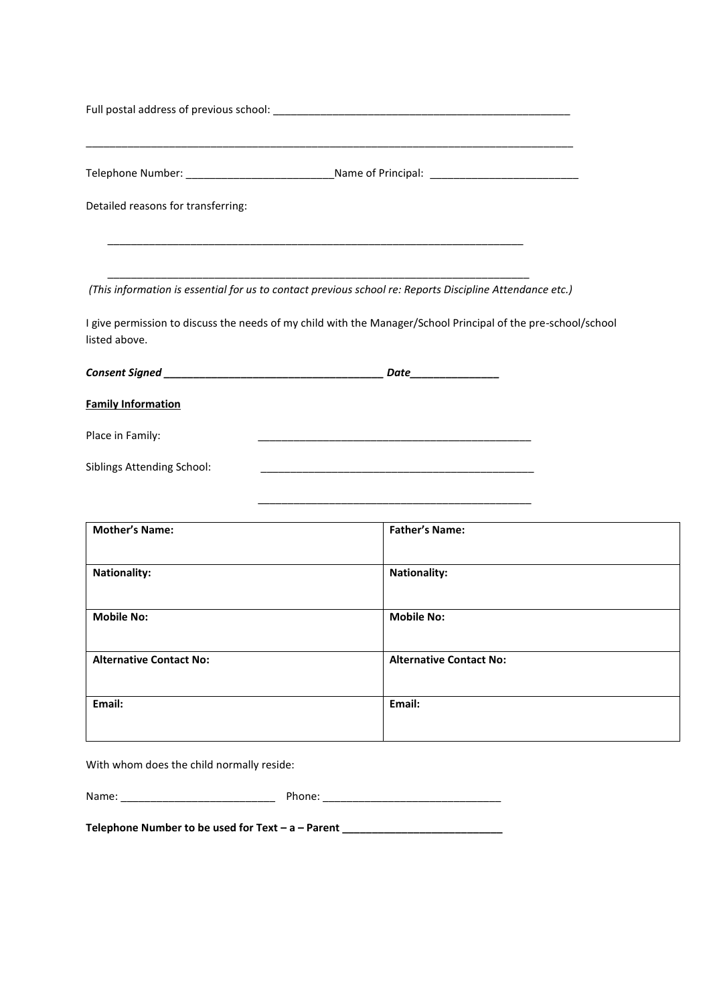|                                    | Telephone Number: _________________________________Name of Principal: ______________________________                                                                                                                                |
|------------------------------------|-------------------------------------------------------------------------------------------------------------------------------------------------------------------------------------------------------------------------------------|
| Detailed reasons for transferring: |                                                                                                                                                                                                                                     |
|                                    | <u> 1989 - Johann Harry Harry Harry Harry Harry Harry Harry Harry Harry Harry Harry Harry Harry Harry Harry Harry</u>                                                                                                               |
|                                    | (This information is essential for us to contact previous school re: Reports Discipline Attendance etc.)                                                                                                                            |
| listed above.                      | I give permission to discuss the needs of my child with the Manager/School Principal of the pre-school/school                                                                                                                       |
|                                    | <b>Date</b> the contract of the contract of the contract of the contract of the contract of the contract of the contract of the contract of the contract of the contract of the contract of the contract of the contract of the con |
| <b>Family Information</b>          |                                                                                                                                                                                                                                     |
| Place in Family:                   | <u> 1989 - Johann John Stone, mars eta biztanleria (h. 1989).</u>                                                                                                                                                                   |
| <b>Siblings Attending School:</b>  |                                                                                                                                                                                                                                     |

| <b>Mother's Name:</b>          | <b>Father's Name:</b>          |
|--------------------------------|--------------------------------|
| <b>Nationality:</b>            | <b>Nationality:</b>            |
| <b>Mobile No:</b>              | <b>Mobile No:</b>              |
| <b>Alternative Contact No:</b> | <b>Alternative Contact No:</b> |
| Email:                         | Email:                         |

\_\_\_\_\_\_\_\_\_\_\_\_\_\_\_\_\_\_\_\_\_\_\_\_\_\_\_\_\_\_\_\_\_\_\_\_\_\_\_\_\_\_\_\_\_\_

With whom does the child normally reside:

| Name: | ≀h∩ne |
|-------|-------|
|       |       |

**Telephone Number to be used for Text – a – Parent \_\_\_\_\_\_\_\_\_\_\_\_\_\_\_\_\_\_\_\_\_\_\_\_\_\_\_**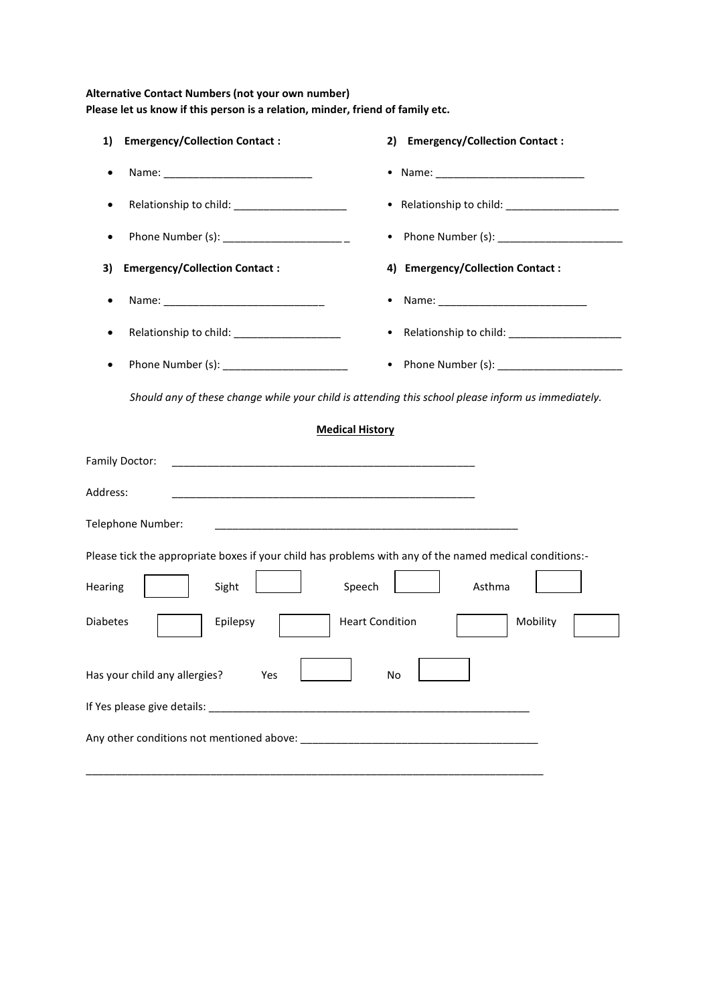## **Alternative Contact Numbers (not your own number) Please let us know if this person is a relation, minder, friend of family etc.**

| 1)<br><b>Emergency/Collection Contact:</b>                                                                                        | 2)<br><b>Emergency/Collection Contact:</b>                                                         |
|-----------------------------------------------------------------------------------------------------------------------------------|----------------------------------------------------------------------------------------------------|
| Name: _______________________________                                                                                             |                                                                                                    |
| ٠                                                                                                                                 |                                                                                                    |
| Phone Number (s): ______________________<br>$\bullet$                                                                             |                                                                                                    |
| <b>Emergency/Collection Contact:</b><br>3)                                                                                        | 4) Emergency/Collection Contact :                                                                  |
| ٠                                                                                                                                 |                                                                                                    |
| Relationship to child: _____________________                                                                                      |                                                                                                    |
| ٠                                                                                                                                 | • Phone Number (s): _______________________                                                        |
|                                                                                                                                   | Should any of these change while your child is attending this school please inform us immediately. |
|                                                                                                                                   | <b>Medical History</b>                                                                             |
| Family Doctor:                                                                                                                    |                                                                                                    |
| Address:<br><u> 1980 - Johann Harry Harry Harry Harry Harry Harry Harry Harry Harry Harry Harry Harry Harry Harry Harry Harry</u> |                                                                                                    |
| Telephone Number:                                                                                                                 | <u> 1989 - Johann Stoff, amerikansk politiker (d. 1989)</u>                                        |
| Please tick the appropriate boxes if your child has problems with any of the named medical conditions:-                           |                                                                                                    |
| Sight<br>Hearing                                                                                                                  | Speech<br>Asthma                                                                                   |
| <b>Diabetes</b><br>Epilepsy                                                                                                       | <b>Heart Condition</b><br>Mobility                                                                 |
| Has your child any allergies?<br>Yes                                                                                              | No                                                                                                 |
|                                                                                                                                   |                                                                                                    |
|                                                                                                                                   |                                                                                                    |

\_\_\_\_\_\_\_\_\_\_\_\_\_\_\_\_\_\_\_\_\_\_\_\_\_\_\_\_\_\_\_\_\_\_\_\_\_\_\_\_\_\_\_\_\_\_\_\_\_\_\_\_\_\_\_\_\_\_\_\_\_\_\_\_\_\_\_\_\_\_\_\_\_\_\_\_\_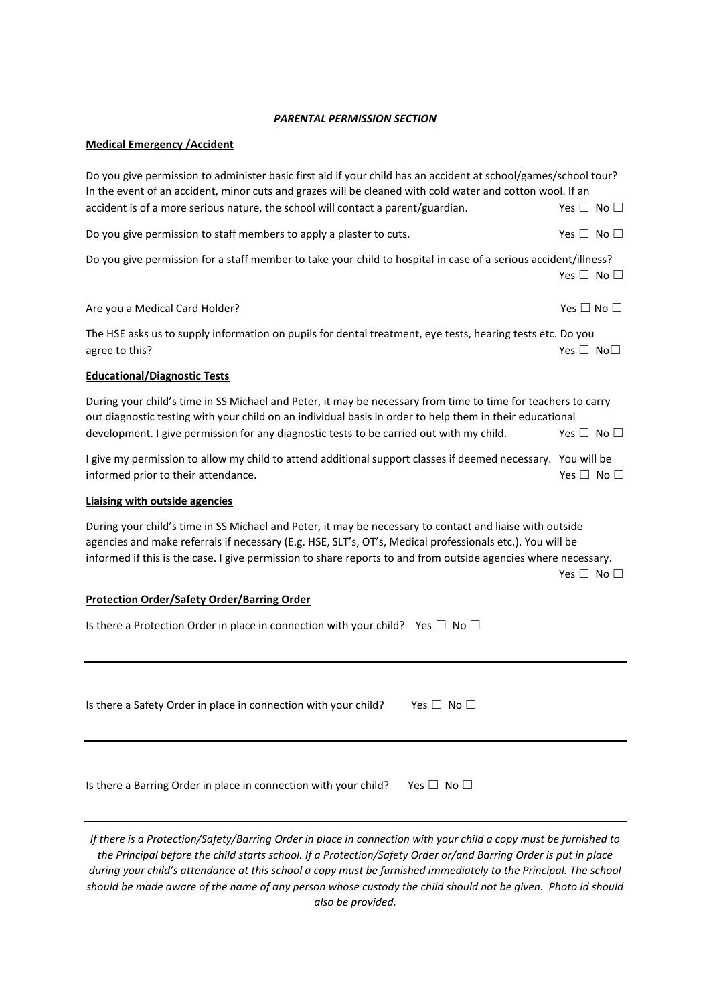#### *PARENTAL PERMISSION SECTION*

#### **Medical Emergency /Accident**

Do you give permission to administer basic first aid if your child has an accident at school/games/school tour? In the event of an accident, minor cuts and grazes will be cleaned with cold water and cotton wool. If an accident is of a more serious nature, the school will contact a parent/guardian. Yes  $□$  No  $□$ Do you give permission to staff members to apply a plaster to cuts.  $\Box$  Yes  $\Box$  No  $\Box$ Do you give permission for a staff member to take your child to hospital in case of a serious accident/illness? Yes □ No □ Are you a Medical Card Holder?  $\Box$  No  $\Box$ The HSE asks us to supply information on pupils for dental treatment, eye tests, hearing tests etc. Do you agree to this? Yes  $\Box$  No $\Box$ **Educational/Diagnostic Tests** During your child's time in SS Michael and Peter, it may be necessary from time to time for teachers to carry out diagnostic testing with your child on an individual basis in order to help them in their educational development. I give permission for any diagnostic tests to be carried out with my child. Yes  $\Box$  No  $\Box$ I give my permission to allow my child to attend additional support classes if deemed necessary. You will be informed prior to their attendance.  $\Box$  No  $\Box$ **Liaising with outside agencies** During your child's time in SS Michael and Peter, it may be necessary to contact and liaise with outside agencies and make referrals if necessary (E.g. HSE, SLT's, OT's, Medical professionals etc.). You will be informed if this is the case. I give permission to share reports to and from outside agencies where necessary.

Yes □ No □

#### **Protection Order/Safety Order/Barring Order**

| Is there a Protection Order in place in connection with your child? Yes $\Box$ No $\Box$ |  |  |
|------------------------------------------------------------------------------------------|--|--|
|------------------------------------------------------------------------------------------|--|--|

Is there a Safety Order in place in connection with your child? Yes  $\Box$  No  $\Box$ 

| Is there a Barring Order in place in connection with your child? | Yes $\Box$ No $\Box$ |
|------------------------------------------------------------------|----------------------|
|------------------------------------------------------------------|----------------------|

*If there is a Protection/Safety/Barring Order in place in connection with your child a copy must be furnished to the Principal before the child starts school. If a Protection/Safety Order or/and Barring Order is put in place during your child's attendance at this school a copy must be furnished immediately to the Principal. The school should be made aware of the name of any person whose custody the child should not be given. Photo id should also be provided.*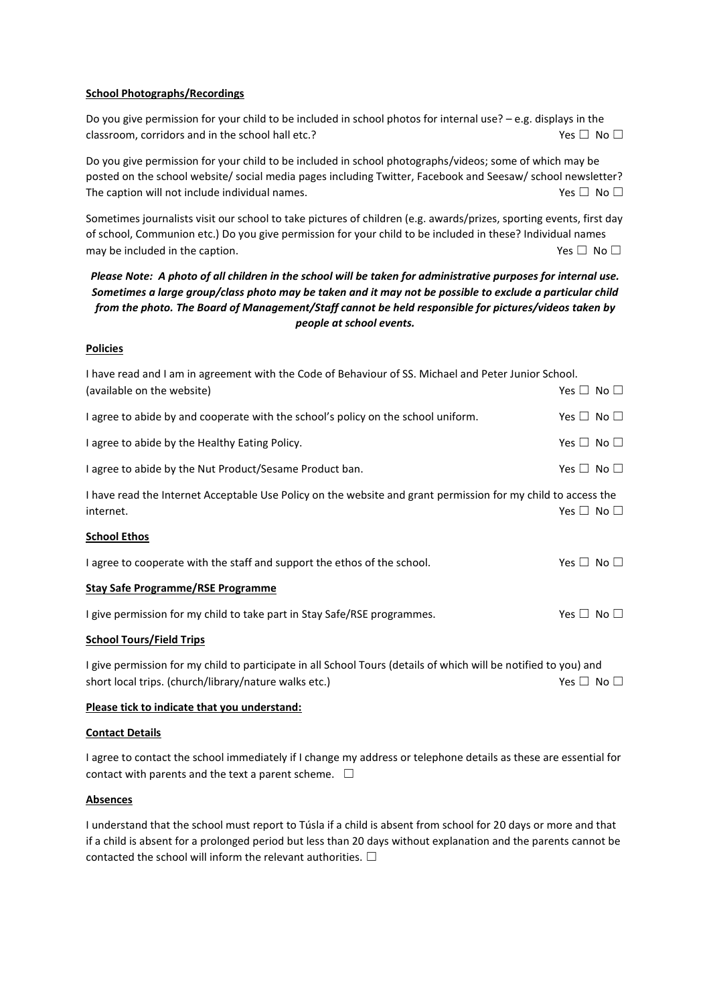#### **School Photographs/Recordings**

Do you give permission for your child to be included in school photos for internal use? – e.g. displays in the classroom, corridors and in the school hall etc.?  $\Box$  Yes  $\Box$  No  $\Box$ 

Do you give permission for your child to be included in school photographs/videos; some of which may be posted on the school website/ social media pages including Twitter, Facebook and Seesaw/ school newsletter? The caption will not include individual names.  $Yes \Box No \Box$ 

Sometimes journalists visit our school to take pictures of children (e.g. awards/prizes, sporting events, first day of school, Communion etc.) Do you give permission for your child to be included in these? Individual names may be included in the caption.  $\Box$  Yes  $\Box$  No  $\Box$ 

## *Please Note: A photo of all children in the school will be taken for administrative purposes for internal use. Sometimes a large group/class photo may be taken and it may not be possible to exclude a particular child from the photo. The Board of Management/Staff cannot be held responsible for pictures/videos taken by people at school events.*

#### **Policies**

| I have read and I am in agreement with the Code of Behaviour of SS. Michael and Peter Junior School.                       |                      |  |
|----------------------------------------------------------------------------------------------------------------------------|----------------------|--|
| (available on the website)                                                                                                 | Yes $\Box$ No $\Box$ |  |
| I agree to abide by and cooperate with the school's policy on the school uniform.                                          | Yes $\Box$ No $\Box$ |  |
| I agree to abide by the Healthy Eating Policy.                                                                             | Yes $\Box$ No $\Box$ |  |
| I agree to abide by the Nut Product/Sesame Product ban.                                                                    | Yes $\Box$ No $\Box$ |  |
| I have read the Internet Acceptable Use Policy on the website and grant permission for my child to access the<br>internet. | Yes $\Box$ No $\Box$ |  |
| <b>School Ethos</b>                                                                                                        |                      |  |
| I agree to cooperate with the staff and support the ethos of the school.                                                   | Yes $\Box$ No $\Box$ |  |
| <b>Stay Safe Programme/RSE Programme</b>                                                                                   |                      |  |
| I give permission for my child to take part in Stay Safe/RSE programmes.                                                   | Yes $\Box$ No $\Box$ |  |
| <b>School Tours/Field Trips</b>                                                                                            |                      |  |
| I give permission for my child to participate in all School Tours (details of which will be notified to you) and           |                      |  |
| short local trips. (church/library/nature walks etc.)                                                                      | Yes $\Box$ No $\Box$ |  |

## **Please tick to indicate that you understand:**

#### **Contact Details**

I agree to contact the school immediately if I change my address or telephone details as these are essential for contact with parents and the text a parent scheme.  $\Box$ 

#### **Absences**

I understand that the school must report to Túsla if a child is absent from school for 20 days or more and that if a child is absent for a prolonged period but less than 20 days without explanation and the parents cannot be contacted the school will inform the relevant authorities.  $\Box$